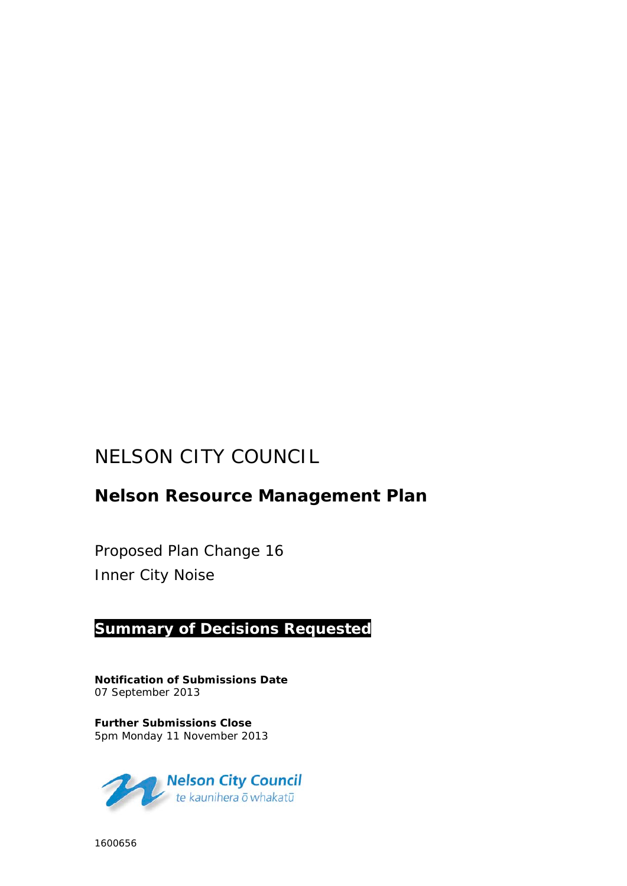# NELSON CITY COUNCIL

## **Nelson Resource Management Plan**

Proposed Plan Change 16 Inner City Noise

### **Summary of Decisions Requested**

**Notification of Submissions Date** 07 September 2013

**Further Submissions Close** 5pm Monday 11 November 2013



1600656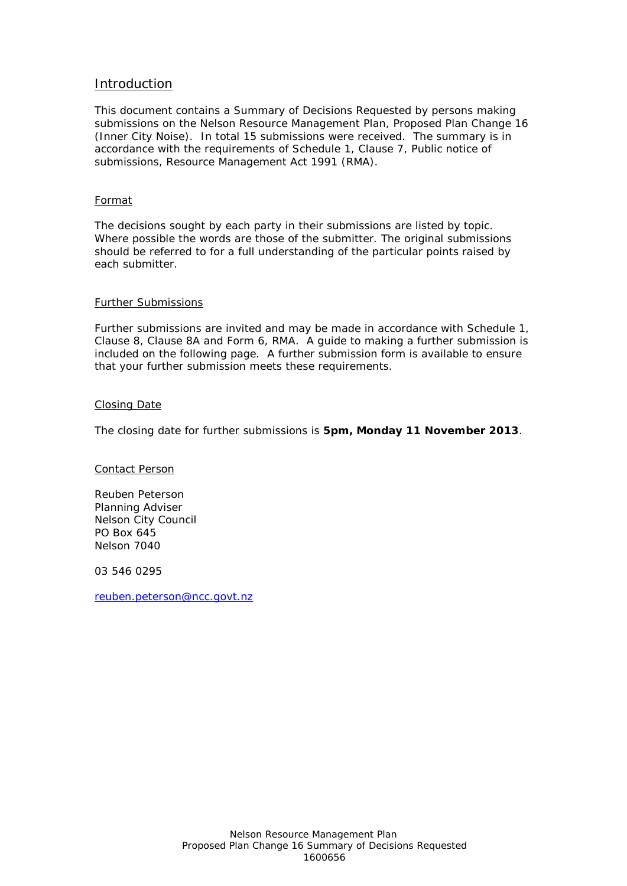#### Introduction

This document contains a Summary of Decisions Requested by persons making submissions on the Nelson Resource Management Plan, Proposed Plan Change 16 (Inner City Noise). In total 15 submissions were received. The summary is in accordance with the requirements of Schedule 1, Clause 7, Public notice of submissions, Resource Management Act 1991 (RMA).

#### Format

The decisions sought by each party in their submissions are listed by topic. Where possible the words are those of the submitter. The original submissions should be referred to for a full understanding of the particular points raised by each submitter.

#### Further Submissions

Further submissions are invited and may be made in accordance with Schedule 1, Clause 8, Clause 8A and Form 6, RMA. A guide to making a further submission is included on the following page. A further submission form is available to ensure that your further submission meets these requirements.

#### Closing Date

The closing date for further submissions is **5pm, Monday 11 November 2013**.

Contact Person

Reuben Peterson Planning Adviser Nelson City Council PO Box 645 Nelson 7040

03 546 0295

[reuben.peterson@ncc.govt.nz](mailto:reuben.peterson@ncc.govt.nz)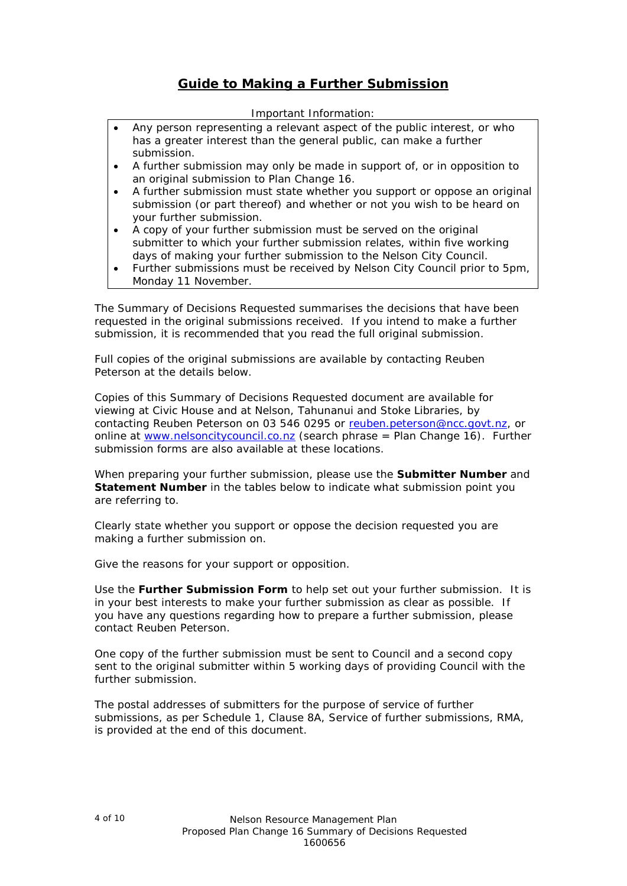### **Guide to Making a Further Submission**

#### Important Information:

- Any person representing a relevant aspect of the public interest, or who has a greater interest than the general public, can make a further submission.
- A further submission may only be made in support of, or in opposition to an original submission to Plan Change 16.
- A further submission must state whether you support or oppose an original submission (or part thereof) and whether or not you wish to be heard on your further submission.
- A copy of your further submission must be served on the original submitter to which your further submission relates, within five working days of making your further submission to the Nelson City Council.
- Further submissions must be received by Nelson City Council prior to 5pm, Monday 11 November.

The Summary of Decisions Requested summarises the decisions that have been requested in the original submissions received. If you intend to make a further submission, it is recommended that you read the full original submission.

Full copies of the original submissions are available by contacting Reuben Peterson at the details below.

Copies of this Summary of Decisions Requested document are available for viewing at Civic House and at Nelson, Tahunanui and Stoke Libraries, by contacting Reuben Peterson on 03 546 0295 or [reuben.peterson@ncc.govt.nz,](mailto:reuben.peterson@ncc.govt.nz) or online at [www.nelsoncitycouncil.co.nz](http://www.nelsoncitycouncil.co.nz/) (search phrase = Plan Change 16). Further submission forms are also available at these locations.

When preparing your further submission, please use the **Submitter Number** and **Statement Number** in the tables below to indicate what submission point you are referring to.

Clearly state whether you support or oppose the decision requested you are making a further submission on.

Give the reasons for your support or opposition.

Use the **Further Submission Form** to help set out your further submission. It is in your best interests to make your further submission as clear as possible. If you have any questions regarding how to prepare a further submission, please contact Reuben Peterson.

One copy of the further submission must be sent to Council and a second copy sent to the original submitter within 5 working days of providing Council with the further submission.

The postal addresses of submitters for the purpose of service of further submissions, as per Schedule 1, Clause 8A, Service of further submissions, RMA, is provided at the end of this document.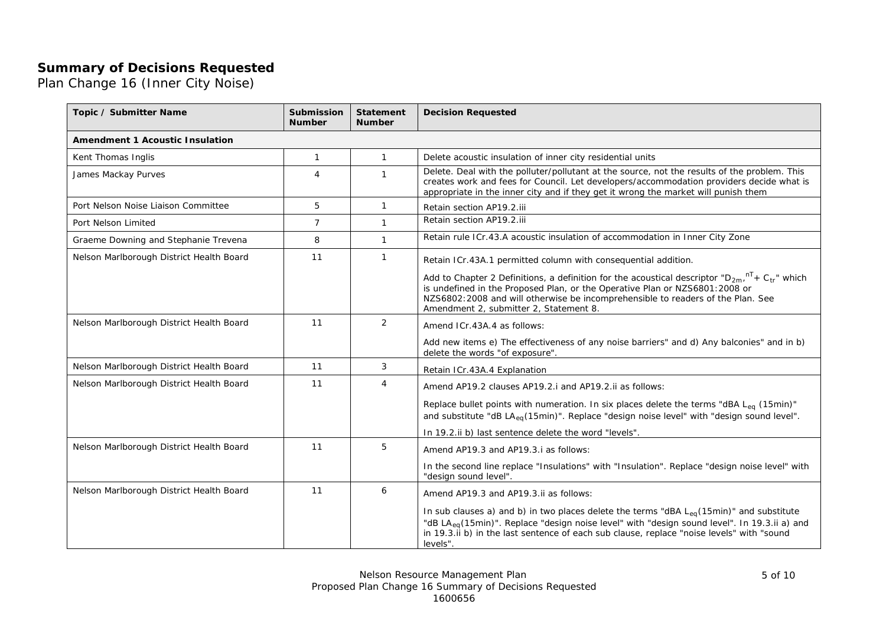### **Summary of Decisions Requested**

Plan Change 16 (Inner City Noise)

| Topic / Submitter Name                   | <b>Submission</b><br><b>Number</b> | <b>Statement</b><br><b>Number</b> | <b>Decision Requested</b>                                                                                                                                                                                                                                                                                              |
|------------------------------------------|------------------------------------|-----------------------------------|------------------------------------------------------------------------------------------------------------------------------------------------------------------------------------------------------------------------------------------------------------------------------------------------------------------------|
| <b>Amendment 1 Acoustic Insulation</b>   |                                    |                                   |                                                                                                                                                                                                                                                                                                                        |
| Kent Thomas Inglis                       | $\mathbf{1}$                       | $\mathbf{1}$                      | Delete acoustic insulation of inner city residential units                                                                                                                                                                                                                                                             |
| James Mackay Purves                      | $\overline{4}$                     | $\mathbf{1}$                      | Delete. Deal with the polluter/pollutant at the source, not the results of the problem. This<br>creates work and fees for Council. Let developers/accommodation providers decide what is<br>appropriate in the inner city and if they get it wrong the market will punish them                                         |
| Port Nelson Noise Liaison Committee      | 5                                  | $\mathbf{1}$                      | Retain section AP19.2.iii                                                                                                                                                                                                                                                                                              |
| Port Nelson Limited                      | $\overline{7}$                     | $\mathbf{1}$                      | Retain section AP19.2.iii                                                                                                                                                                                                                                                                                              |
| Graeme Downing and Stephanie Trevena     | 8                                  | $\mathbf{1}$                      | Retain rule ICr.43.A acoustic insulation of accommodation in Inner City Zone                                                                                                                                                                                                                                           |
| Nelson Marlborough District Health Board | 11                                 | $\mathbf{1}$                      | Retain ICr.43A.1 permitted column with consequential addition.                                                                                                                                                                                                                                                         |
|                                          |                                    |                                   | Add to Chapter 2 Definitions, a definition for the acoustical descriptor " $D_{2m}$ , $T + C_{tr}$ " which<br>is undefined in the Proposed Plan, or the Operative Plan or NZS6801:2008 or<br>NZS6802:2008 and will otherwise be incomprehensible to readers of the Plan. See<br>Amendment 2, submitter 2, Statement 8. |
| Nelson Marlborough District Health Board | 11                                 | $\overline{2}$                    | Amend ICr.43A.4 as follows:                                                                                                                                                                                                                                                                                            |
|                                          |                                    |                                   | Add new items e) The effectiveness of any noise barriers" and d) Any balconies" and in b)<br>delete the words "of exposure".                                                                                                                                                                                           |
| Nelson Marlborough District Health Board | 11                                 | 3                                 | Retain ICr.43A.4 Explanation                                                                                                                                                                                                                                                                                           |
| Nelson Marlborough District Health Board | 11                                 | 4                                 | Amend AP19.2 clauses AP19.2.i and AP19.2.ii as follows:                                                                                                                                                                                                                                                                |
|                                          |                                    |                                   | Replace bullet points with numeration. In six places delete the terms "dBA L <sub>eq</sub> (15min)"<br>and substitute "dB LA <sub>eq</sub> (15min)". Replace "design noise level" with "design sound level".                                                                                                           |
|                                          |                                    |                                   | In 19.2.ii b) last sentence delete the word "levels".                                                                                                                                                                                                                                                                  |
| Nelson Marlborough District Health Board | 11                                 | 5                                 | Amend AP19.3 and AP19.3.i as follows:                                                                                                                                                                                                                                                                                  |
|                                          |                                    |                                   | In the second line replace "Insulations" with "Insulation". Replace "design noise level" with<br>"design sound level".                                                                                                                                                                                                 |
| Nelson Marlborough District Health Board | 11                                 | 6                                 | Amend AP19.3 and AP19.3.ii as follows:                                                                                                                                                                                                                                                                                 |
|                                          |                                    |                                   | In sub clauses a) and b) in two places delete the terms "dBA $L_{eq}(15min)$ " and substitute<br>"dB LA <sub>eq</sub> (15min)". Replace "design noise level" with "design sound level". In 19.3.ii a) and<br>in 19.3.ii b) in the last sentence of each sub clause, replace "noise levels" with "sound<br>levels".     |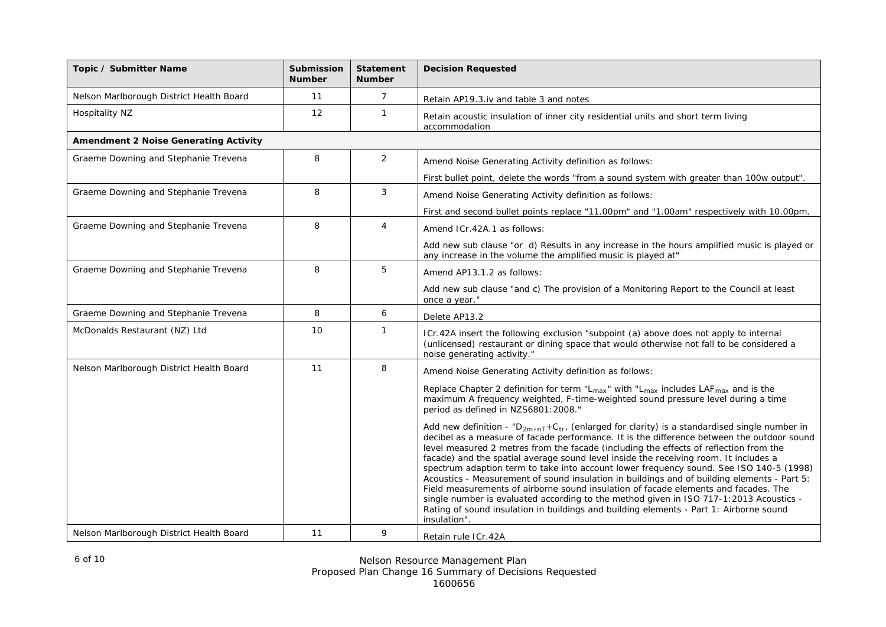| Topic / Submitter Name                       | <b>Submission</b><br><b>Number</b> | <b>Statement</b><br><b>Number</b> | <b>Decision Requested</b>                                                                                                                                                                                                                                                                                                                                                                                                                                                                                                                                                                                                                                                                                                                                                                                                                                                           |
|----------------------------------------------|------------------------------------|-----------------------------------|-------------------------------------------------------------------------------------------------------------------------------------------------------------------------------------------------------------------------------------------------------------------------------------------------------------------------------------------------------------------------------------------------------------------------------------------------------------------------------------------------------------------------------------------------------------------------------------------------------------------------------------------------------------------------------------------------------------------------------------------------------------------------------------------------------------------------------------------------------------------------------------|
| Nelson Marlborough District Health Board     | 11                                 | $\overline{7}$                    | Retain AP19.3.iv and table 3 and notes                                                                                                                                                                                                                                                                                                                                                                                                                                                                                                                                                                                                                                                                                                                                                                                                                                              |
| Hospitality NZ                               | 12                                 | $\mathbf{1}$                      | Retain acoustic insulation of inner city residential units and short term living<br>accommodation                                                                                                                                                                                                                                                                                                                                                                                                                                                                                                                                                                                                                                                                                                                                                                                   |
| <b>Amendment 2 Noise Generating Activity</b> |                                    |                                   |                                                                                                                                                                                                                                                                                                                                                                                                                                                                                                                                                                                                                                                                                                                                                                                                                                                                                     |
| Graeme Downing and Stephanie Trevena         | 8                                  | $\overline{2}$                    | Amend Noise Generating Activity definition as follows:                                                                                                                                                                                                                                                                                                                                                                                                                                                                                                                                                                                                                                                                                                                                                                                                                              |
|                                              |                                    |                                   | First bullet point, delete the words "from a sound system with greater than 100w output".                                                                                                                                                                                                                                                                                                                                                                                                                                                                                                                                                                                                                                                                                                                                                                                           |
| Graeme Downing and Stephanie Trevena         | 8                                  | $\mathfrak{Z}$                    | Amend Noise Generating Activity definition as follows:                                                                                                                                                                                                                                                                                                                                                                                                                                                                                                                                                                                                                                                                                                                                                                                                                              |
|                                              |                                    |                                   | First and second bullet points replace "11.00pm" and "1.00am" respectively with 10.00pm.                                                                                                                                                                                                                                                                                                                                                                                                                                                                                                                                                                                                                                                                                                                                                                                            |
| Graeme Downing and Stephanie Trevena         | 8                                  | $\overline{4}$                    | Amend ICr.42A.1 as follows:                                                                                                                                                                                                                                                                                                                                                                                                                                                                                                                                                                                                                                                                                                                                                                                                                                                         |
|                                              |                                    |                                   | Add new sub clause "or d) Results in any increase in the hours amplified music is played or<br>any increase in the volume the amplified music is played at"                                                                                                                                                                                                                                                                                                                                                                                                                                                                                                                                                                                                                                                                                                                         |
| Graeme Downing and Stephanie Trevena         | 8                                  | 5                                 | Amend AP13.1.2 as follows:                                                                                                                                                                                                                                                                                                                                                                                                                                                                                                                                                                                                                                                                                                                                                                                                                                                          |
|                                              |                                    |                                   | Add new sub clause "and c) The provision of a Monitoring Report to the Council at least<br>once a year."                                                                                                                                                                                                                                                                                                                                                                                                                                                                                                                                                                                                                                                                                                                                                                            |
| Graeme Downing and Stephanie Trevena         | 8                                  | 6                                 | Delete AP13.2                                                                                                                                                                                                                                                                                                                                                                                                                                                                                                                                                                                                                                                                                                                                                                                                                                                                       |
| McDonalds Restaurant (NZ) Ltd                | 10                                 | $\mathbf{1}$                      | ICr.42A insert the following exclusion "subpoint (a) above does not apply to internal<br>(unlicensed) restaurant or dining space that would otherwise not fall to be considered a<br>noise generating activity."                                                                                                                                                                                                                                                                                                                                                                                                                                                                                                                                                                                                                                                                    |
| Nelson Marlborough District Health Board     | 11                                 | 8                                 | Amend Noise Generating Activity definition as follows:                                                                                                                                                                                                                                                                                                                                                                                                                                                                                                                                                                                                                                                                                                                                                                                                                              |
|                                              |                                    |                                   | Replace Chapter 2 definition for term " $L_{max}$ " with " $L_{max}$ includes LAF $_{max}$ and is the<br>maximum A frequency weighted, F-time-weighted sound pressure level during a time<br>period as defined in NZS6801:2008."                                                                                                                                                                                                                                                                                                                                                                                                                                                                                                                                                                                                                                                    |
|                                              |                                    |                                   | Add new definition - " $D_{2m/nT}$ +C <sub>tr</sub> , (enlarged for clarity) is a standardised single number in<br>decibel as a measure of facade performance. It is the difference between the outdoor sound<br>level measured 2 metres from the facade (including the effects of reflection from the<br>facade) and the spatial average sound level inside the receiving room. It includes a<br>spectrum adaption term to take into account lower frequency sound. See ISO 140-5 (1998)<br>Acoustics - Measurement of sound insulation in buildings and of building elements - Part 5:<br>Field measurements of airborne sound insulation of facade elements and facades. The<br>single number is evaluated according to the method given in ISO 717-1:2013 Acoustics -<br>Rating of sound insulation in buildings and building elements - Part 1: Airborne sound<br>insulation". |
| Nelson Marlborough District Health Board     | 11                                 | 9                                 | Retain rule ICr.42A                                                                                                                                                                                                                                                                                                                                                                                                                                                                                                                                                                                                                                                                                                                                                                                                                                                                 |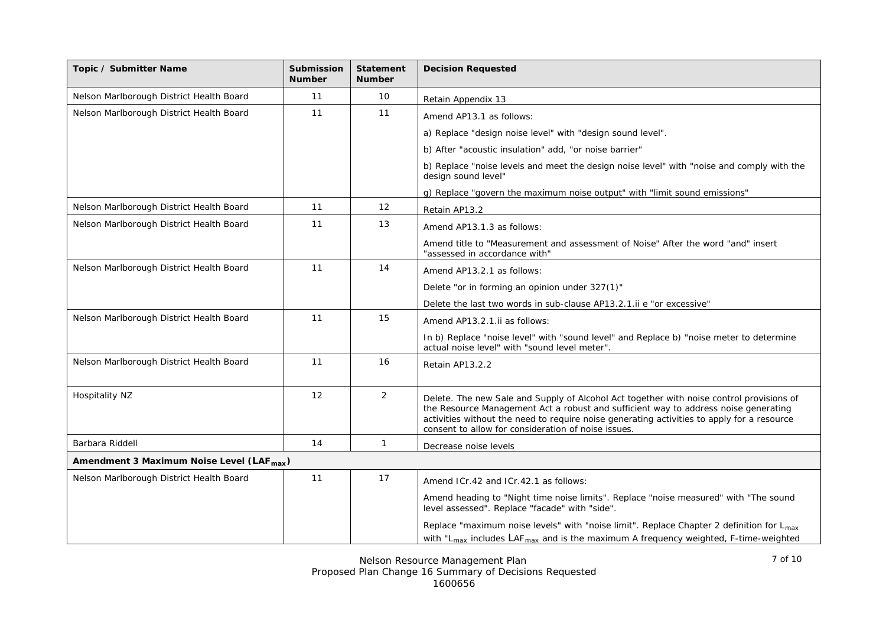| Topic / Submitter Name                                | <b>Submission</b><br><b>Number</b> | <b>Statement</b><br><b>Number</b> | <b>Decision Requested</b>                                                                                                                                                                                                                                                                                                            |
|-------------------------------------------------------|------------------------------------|-----------------------------------|--------------------------------------------------------------------------------------------------------------------------------------------------------------------------------------------------------------------------------------------------------------------------------------------------------------------------------------|
| Nelson Marlborough District Health Board              | 11                                 | 10                                | Retain Appendix 13                                                                                                                                                                                                                                                                                                                   |
| Nelson Marlborough District Health Board              | 11                                 | 11                                | Amend AP13.1 as follows:                                                                                                                                                                                                                                                                                                             |
|                                                       |                                    |                                   | a) Replace "design noise level" with "design sound level".                                                                                                                                                                                                                                                                           |
|                                                       |                                    |                                   | b) After "acoustic insulation" add, "or noise barrier"                                                                                                                                                                                                                                                                               |
|                                                       |                                    |                                   | b) Replace "noise levels and meet the design noise level" with "noise and comply with the<br>design sound level"                                                                                                                                                                                                                     |
|                                                       |                                    |                                   | g) Replace "govern the maximum noise output" with "limit sound emissions"                                                                                                                                                                                                                                                            |
| Nelson Marlborough District Health Board              | 11                                 | 12                                | Retain AP13.2                                                                                                                                                                                                                                                                                                                        |
| Nelson Marlborough District Health Board              | 11                                 | 13                                | Amend AP13.1.3 as follows:                                                                                                                                                                                                                                                                                                           |
|                                                       |                                    |                                   | Amend title to "Measurement and assessment of Noise" After the word "and" insert<br>"assessed in accordance with"                                                                                                                                                                                                                    |
| Nelson Marlborough District Health Board              | 11                                 | 14                                | Amend AP13.2.1 as follows:                                                                                                                                                                                                                                                                                                           |
|                                                       |                                    |                                   | Delete "or in forming an opinion under 327(1)"                                                                                                                                                                                                                                                                                       |
|                                                       |                                    |                                   | Delete the last two words in sub-clause AP13.2.1.ii e "or excessive"                                                                                                                                                                                                                                                                 |
| Nelson Marlborough District Health Board              | 11                                 | 15                                | Amend AP13.2.1. ii as follows:                                                                                                                                                                                                                                                                                                       |
|                                                       |                                    |                                   | In b) Replace "noise level" with "sound level" and Replace b) "noise meter to determine<br>actual noise level" with "sound level meter".                                                                                                                                                                                             |
| Nelson Marlborough District Health Board              | 11                                 | 16                                | Retain AP13.2.2                                                                                                                                                                                                                                                                                                                      |
| Hospitality NZ                                        | 12                                 | 2                                 | Delete. The new Sale and Supply of Alcohol Act together with noise control provisions of<br>the Resource Management Act a robust and sufficient way to address noise generating<br>activities without the need to require noise generating activities to apply for a resource<br>consent to allow for consideration of noise issues. |
| Barbara Riddell                                       | 14                                 | $\mathbf{1}$                      | Decrease noise levels                                                                                                                                                                                                                                                                                                                |
| Amendment 3 Maximum Noise Level (LAF <sub>max</sub> ) |                                    |                                   |                                                                                                                                                                                                                                                                                                                                      |
| Nelson Marlborough District Health Board              | 11                                 | 17                                | Amend ICr.42 and ICr.42.1 as follows:                                                                                                                                                                                                                                                                                                |
|                                                       |                                    |                                   | Amend heading to "Night time noise limits". Replace "noise measured" with "The sound<br>level assessed". Replace "facade" with "side".                                                                                                                                                                                               |
|                                                       |                                    |                                   | Replace "maximum noise levels" with "noise limit". Replace Chapter 2 definition for $L_{max}$<br>with "L <sub>max</sub> includes LAF <sub>max</sub> and is the maximum A frequency weighted, F-time-weighted                                                                                                                         |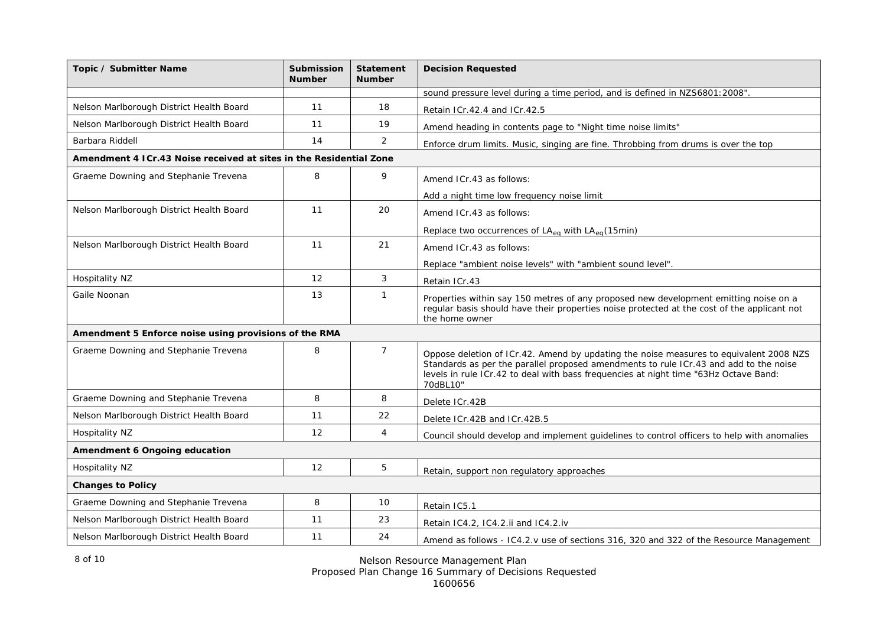| Topic / Submitter Name                                             | <b>Submission</b><br><b>Number</b> | <b>Statement</b><br><b>Number</b> | <b>Decision Requested</b>                                                                                                                                                                                                                                                           |
|--------------------------------------------------------------------|------------------------------------|-----------------------------------|-------------------------------------------------------------------------------------------------------------------------------------------------------------------------------------------------------------------------------------------------------------------------------------|
|                                                                    |                                    |                                   | sound pressure level during a time period, and is defined in NZS6801:2008".                                                                                                                                                                                                         |
| Nelson Marlborough District Health Board                           | 11                                 | 18                                | Retain ICr.42.4 and ICr.42.5                                                                                                                                                                                                                                                        |
| Nelson Marlborough District Health Board                           | 11                                 | 19                                | Amend heading in contents page to "Night time noise limits"                                                                                                                                                                                                                         |
| Barbara Riddell                                                    | 14                                 | 2                                 | Enforce drum limits. Music, singing are fine. Throbbing from drums is over the top                                                                                                                                                                                                  |
| Amendment 4 ICr.43 Noise received at sites in the Residential Zone |                                    |                                   |                                                                                                                                                                                                                                                                                     |
| Graeme Downing and Stephanie Trevena                               | 8                                  | 9                                 | Amend ICr.43 as follows:                                                                                                                                                                                                                                                            |
|                                                                    |                                    |                                   | Add a night time low frequency noise limit                                                                                                                                                                                                                                          |
| Nelson Marlborough District Health Board                           | 11                                 | 20                                | Amend ICr.43 as follows:                                                                                                                                                                                                                                                            |
|                                                                    |                                    |                                   | Replace two occurrences of $LA_{eq}$ with $LA_{eq}(15min)$                                                                                                                                                                                                                          |
| Nelson Marlborough District Health Board                           | 11                                 | 21                                | Amend ICr.43 as follows:                                                                                                                                                                                                                                                            |
|                                                                    |                                    |                                   | Replace "ambient noise levels" with "ambient sound level".                                                                                                                                                                                                                          |
| Hospitality NZ                                                     | 12                                 | 3                                 | Retain ICr.43                                                                                                                                                                                                                                                                       |
| Gaile Noonan                                                       | 13                                 | $\mathbf{1}$                      | Properties within say 150 metres of any proposed new development emitting noise on a<br>regular basis should have their properties noise protected at the cost of the applicant not<br>the home owner                                                                               |
| Amendment 5 Enforce noise using provisions of the RMA              |                                    |                                   |                                                                                                                                                                                                                                                                                     |
| Graeme Downing and Stephanie Trevena                               | 8                                  | $\overline{7}$                    | Oppose deletion of ICr.42. Amend by updating the noise measures to equivalent 2008 NZS<br>Standards as per the parallel proposed amendments to rule ICr.43 and add to the noise<br>levels in rule ICr.42 to deal with bass frequencies at night time "63Hz Octave Band:<br>70dBL10" |
| Graeme Downing and Stephanie Trevena                               | 8                                  | 8                                 | Delete ICr.42B                                                                                                                                                                                                                                                                      |
| Nelson Marlborough District Health Board                           | 11                                 | 22                                | Delete ICr.42B and ICr.42B.5                                                                                                                                                                                                                                                        |
| Hospitality NZ                                                     | 12                                 | $\overline{4}$                    | Council should develop and implement quidelines to control officers to help with anomalies                                                                                                                                                                                          |
| Amendment 6 Ongoing education                                      |                                    |                                   |                                                                                                                                                                                                                                                                                     |
| Hospitality NZ                                                     | 12                                 | 5                                 | Retain, support non regulatory approaches                                                                                                                                                                                                                                           |
| <b>Changes to Policy</b>                                           |                                    |                                   |                                                                                                                                                                                                                                                                                     |
| Graeme Downing and Stephanie Trevena                               | 8                                  | 10                                | Retain IC5.1                                                                                                                                                                                                                                                                        |
| Nelson Marlborough District Health Board                           | 11                                 | 23                                | Retain IC4.2, IC4.2.ii and IC4.2.iv                                                                                                                                                                                                                                                 |
| Nelson Marlborough District Health Board                           | 11                                 | 24                                | Amend as follows - IC4.2.v use of sections 316, 320 and 322 of the Resource Management                                                                                                                                                                                              |

*Nelson Resource Management Plan*

*Proposed Plan Change 16 Summary of Decisions Requested*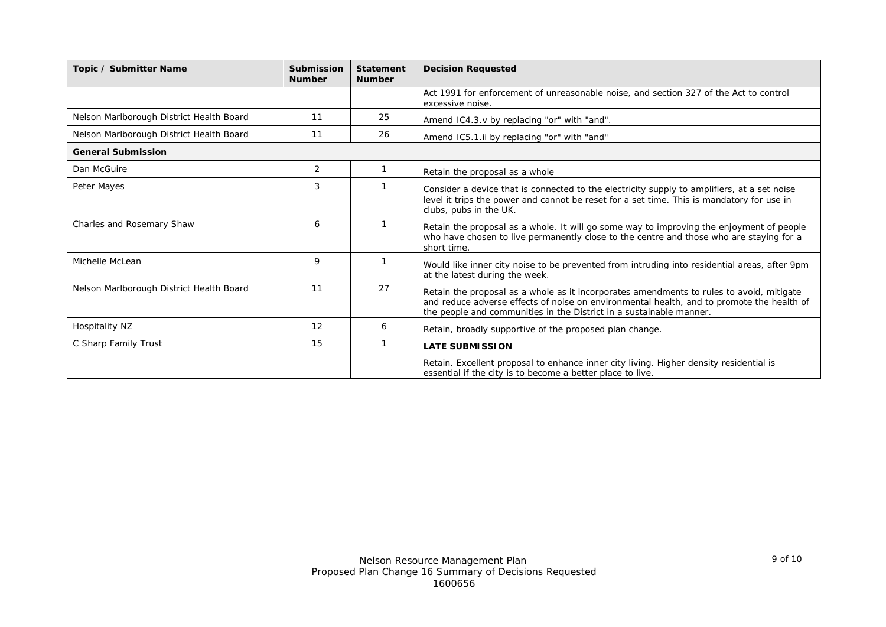| <b>Submission</b><br><b>Number</b> | <b>Statement</b><br><b>Number</b> | <b>Decision Requested</b>                                                                                                                                                                                                                                    |
|------------------------------------|-----------------------------------|--------------------------------------------------------------------------------------------------------------------------------------------------------------------------------------------------------------------------------------------------------------|
|                                    |                                   | Act 1991 for enforcement of unreasonable noise, and section 327 of the Act to control<br>excessive noise.                                                                                                                                                    |
| 11                                 | 25                                | Amend IC4.3.v by replacing "or" with "and".                                                                                                                                                                                                                  |
| 11                                 | 26                                | Amend IC5.1.ii by replacing "or" with "and"                                                                                                                                                                                                                  |
| <b>General Submission</b>          |                                   |                                                                                                                                                                                                                                                              |
| 2                                  |                                   | Retain the proposal as a whole                                                                                                                                                                                                                               |
| 3                                  |                                   | Consider a device that is connected to the electricity supply to amplifiers, at a set noise<br>level it trips the power and cannot be reset for a set time. This is mandatory for use in<br>clubs, pubs in the UK.                                           |
| 6                                  |                                   | Retain the proposal as a whole. It will go some way to improving the enjoyment of people<br>who have chosen to live permanently close to the centre and those who are staying for a<br>short time.                                                           |
| 9                                  |                                   | Would like inner city noise to be prevented from intruding into residential areas, after 9pm<br>at the latest during the week.                                                                                                                               |
| 11                                 | 27                                | Retain the proposal as a whole as it incorporates amendments to rules to avoid, mitigate<br>and reduce adverse effects of noise on environmental health, and to promote the health of<br>the people and communities in the District in a sustainable manner. |
| 12                                 | 6                                 | Retain, broadly supportive of the proposed plan change.                                                                                                                                                                                                      |
| 15                                 |                                   | <b>LATE SUBMISSION</b><br>Retain. Excellent proposal to enhance inner city living. Higher density residential is<br>essential if the city is to become a better place to live.                                                                               |
|                                    |                                   |                                                                                                                                                                                                                                                              |